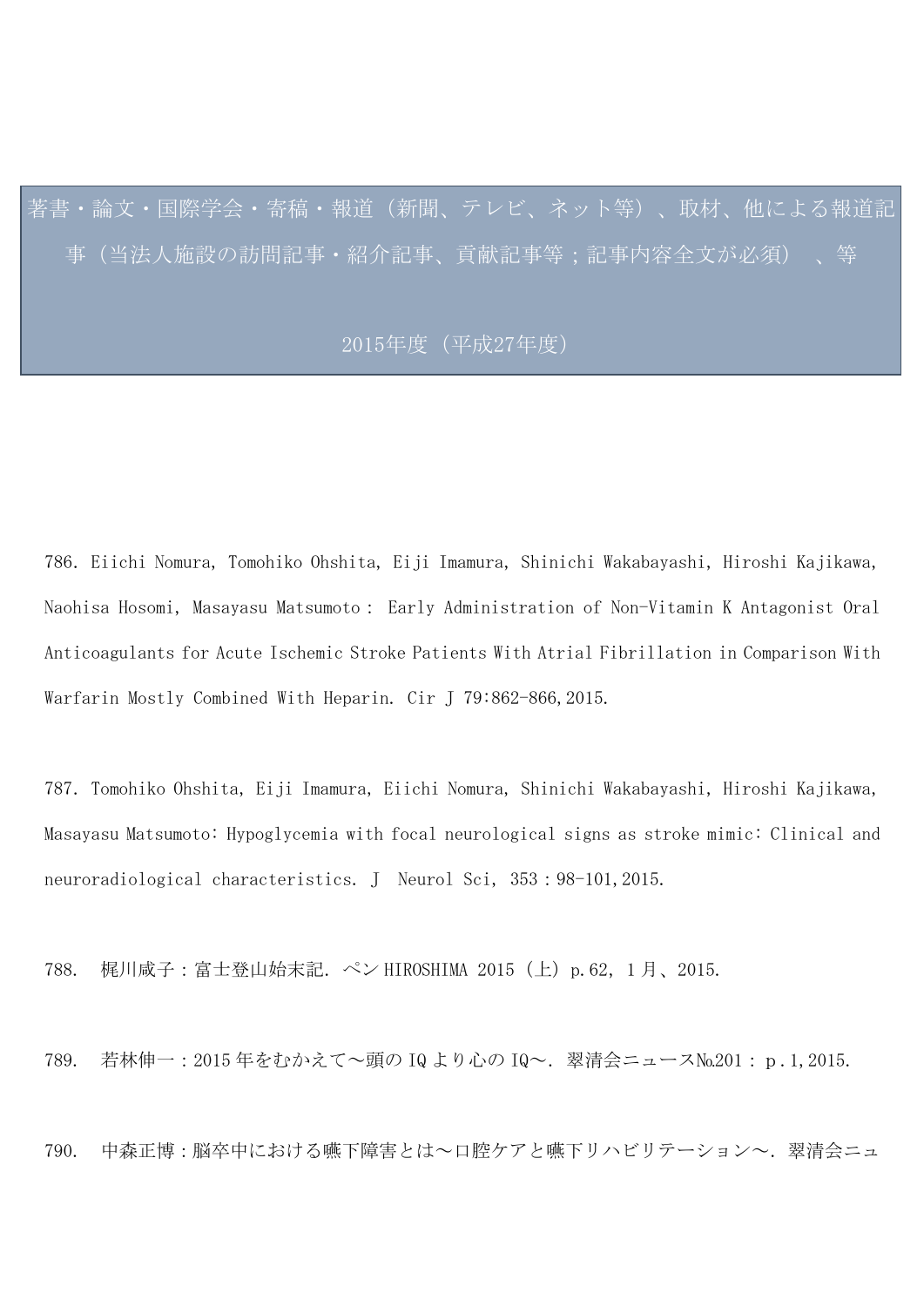著書・論文・国際学会・寄稿・報道(新聞、テレビ、ネット等)、取材、他による報道記 事(当法人施設の訪問記事・紹介記事、貢献記事等;記事内容全文が必須) 、等

## 2015年度(平成27年度)

786.Eiichi Nomura, Tomohiko Ohshita, Eiji Imamura, Shinichi Wakabayashi, Hiroshi Kajikawa, Naohisa Hosomi, Masayasu Matsumoto: Early Administration of Non-Vitamin K Antagonist Oral Anticoagulants for Acute Ischemic Stroke Patients With Atrial Fibrillation in Comparison With Warfarin Mostly Combined With Heparin. Cir J 79:862-866, 2015.

787.Tomohiko Ohshita, Eiji Imamura, Eiichi Nomura, Shinichi Wakabayashi, Hiroshi Kajikawa, Masayasu Matsumoto: Hypoglycemia with focal neurological signs as stroke mimic: Clinical and neuroradiological characteristics. J Neurol Sci, 353:98-101,2015.

788. 梶川咸子:富士登山始末記.ペン HIROSHIMA 2015(上)p.62,1 月、2015.

789. 若林伸一:2015 年をむかえて~頭の IQ より心の IQ~.翠清会ニュース№201:p.1,2015.

790. 中森正博:脳卒中における嚥下障害とは~口腔ケアと嚥下リハビリテーション~.翠清会ニュ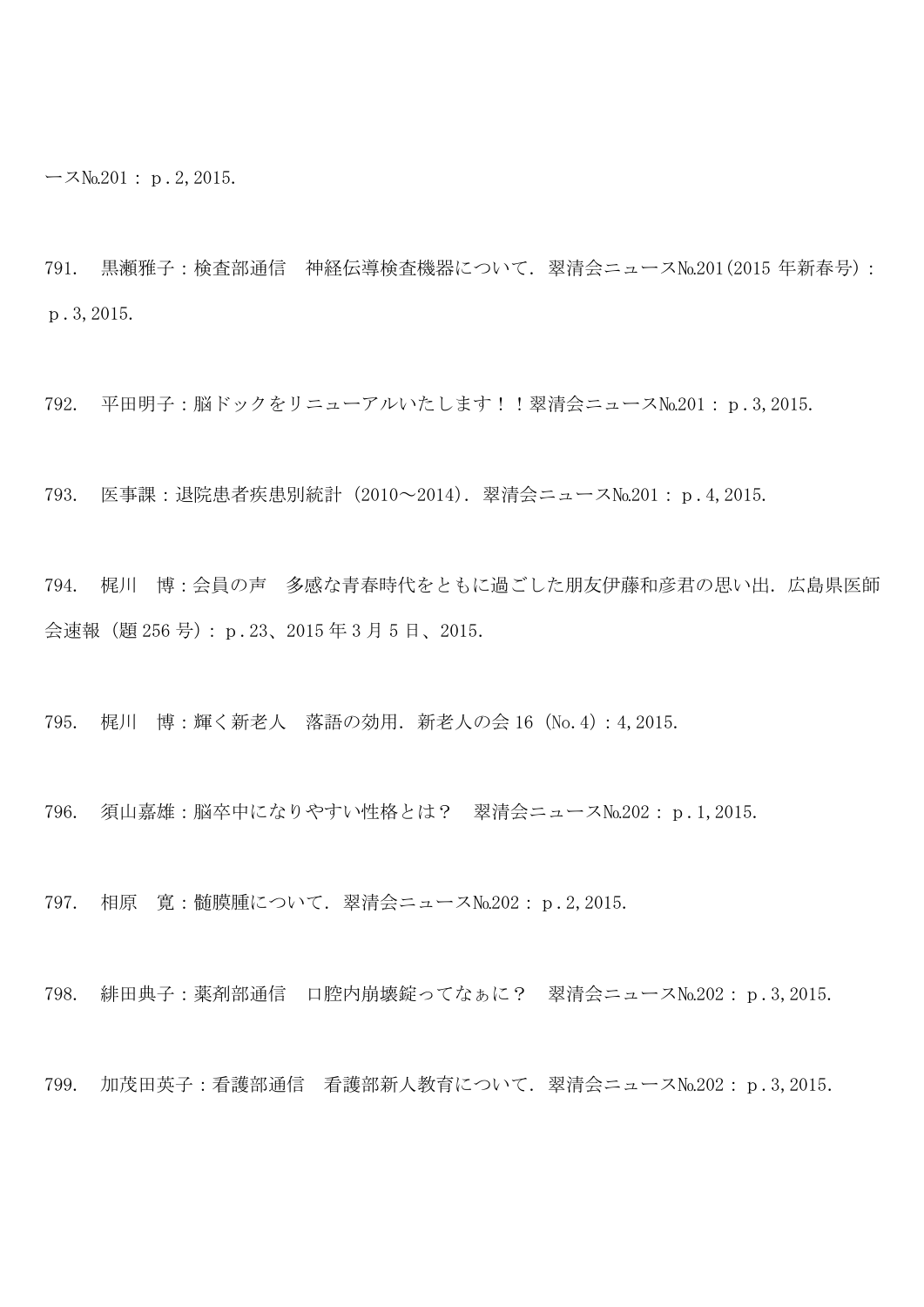$-7N_0.201: p.2,2015.$ 

791. 黒瀬雅子:検査部通信 神経伝導検査機器について.翠清会ニュース№201(2015 年新春号): p.3,2015.

792. 平田明子:脳ドックをリニューアルいたします!!翠清会ニュース№201:p.3,2015.

793. 医事課:退院患者疾患別統計(2010~2014).翠清会ニュース№201:p.4,2015.

794. 梶川 博:会員の声 多感な青春時代をともに過ごした朋友伊藤和彦君の思い出.広島県医師 会速報(題 256 号):p.23、2015 年 3 月 5 日、2015.

795. 梶川 博:輝く新老人 落語の効用.新老人の会 16(No.4):4,2015.

796. 須山嘉雄:脳卒中になりやすい性格とは? 翠清会ニュース№202:p.1,2015.

797. 相原 寛:髄膜腫について.翠清会ニュース№202:p.2,2015.

798. 緋田典子:薬剤部通信 口腔内崩壊錠ってなぁに? 翠清会ニュース№202:p.3,2015.

799. 加茂田英子:看護部通信 看護部新人教育について.翠清会ニュース№202:p.3,2015.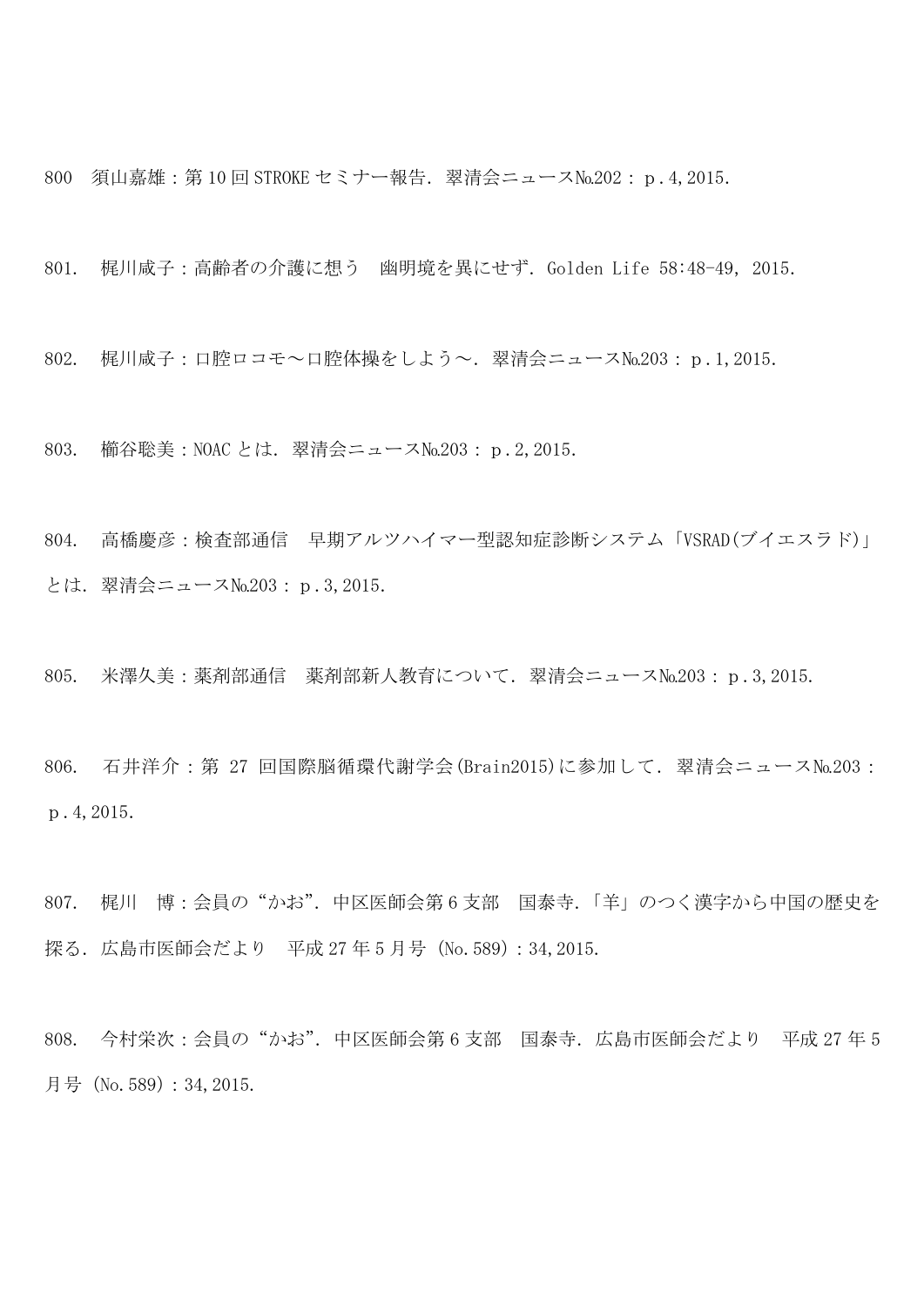800 須山嘉雄: 第10回 STROKE セミナー報告. 翠清会ニュース№202: p.4,2015.

801. 梶川咸子:高齢者の介護に想う 幽明境を異にせず. Golden Life 58:48-49, 2015.

802. 梶川咸子:口腔ロコモ~口腔体操をしよう~.翠清会ニュース№203:p.1,2015.

803. 櫛谷聡美:NOAC とは. 翠清会ニュース№203: p.2,2015.

804. 高橋慶彦:検査部通信 早期アルツハイマー型認知症診断システム「VSRAD(ブイエスラド)」 とは.翠清会ニュース№203:p.3,2015.

805. 米澤久美:薬剤部通信 薬剤部新人教育について.翠清会ニュース№203:p.3,2015.

806. 石井洋介: 第 27 回国際脳循環代謝学会(Brain2015)に参加して. 翠清会ニュース№203: p.4,2015.

807. 梶川 博:会員の"かお".中区医師会第 6 支部 国泰寺.「羊」のつく漢字から中国の歴史を 探る. 広島市医師会だより 平成 27年5月号 (No.589): 34, 2015.

808. 今村栄次:会員の"かお".中区医師会第 6 支部 国泰寺.広島市医師会だより 平成 27 年 5 月号(No.589):34,2015.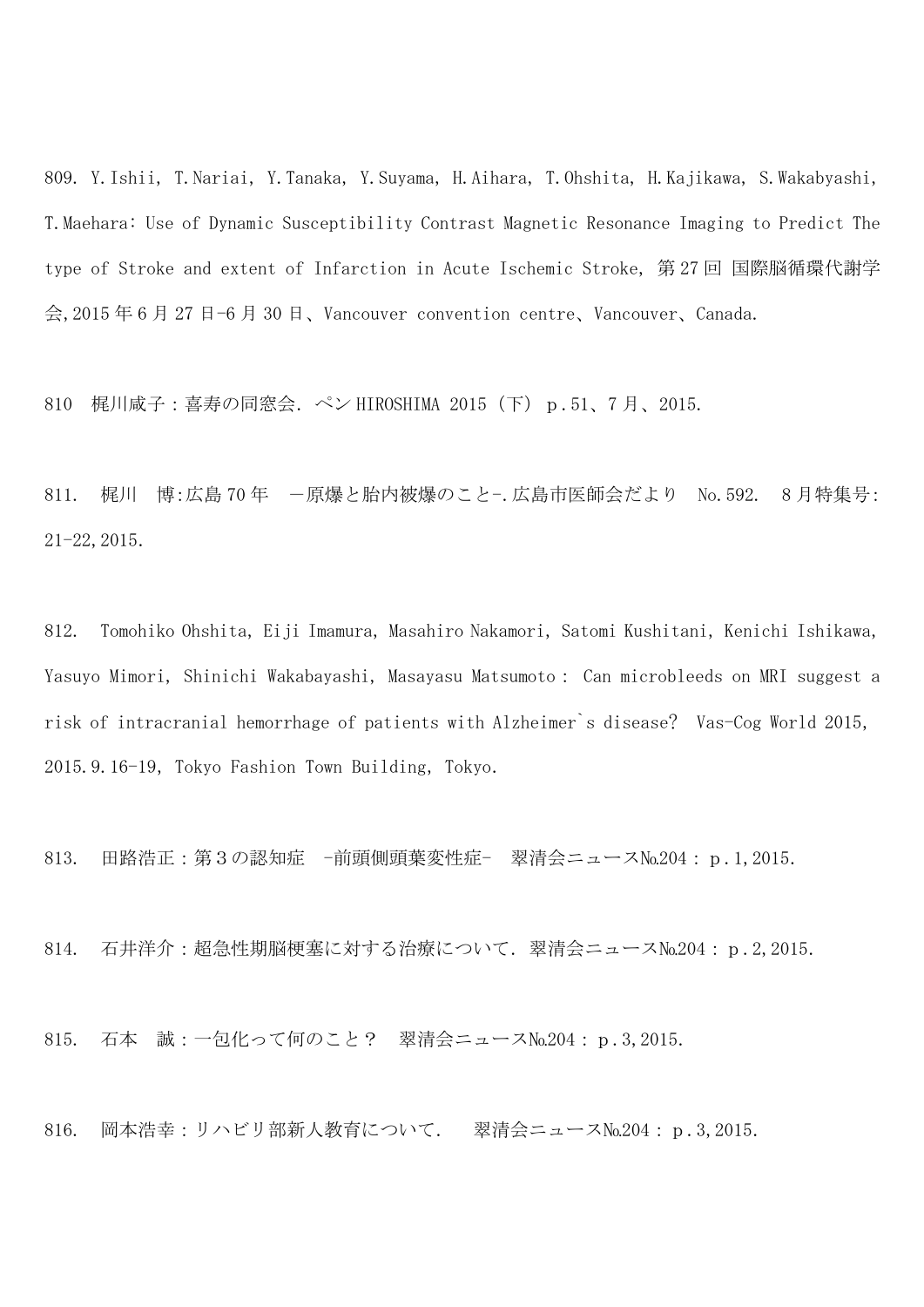809. Y.Ishii, T.Nariai, Y.Tanaka, Y.Suyama, H.Aihara, T.Ohshita, H.Kajikawa, S.Wakabyashi, T. Maehara: Use of Dynamic Susceptibility Contrast Magnetic Resonance Imaging to Predict The type of Stroke and extent of Infarction in Acute Ischemic Stroke, 第 27 回 国際脳循環代謝学 会,2015 年 6 月 27 日-6 月 30 日、Vancouver convention centre、Vancouver、Canada.

810 梶川咸子:喜寿の同窓会.ペン HIROSHIMA 2015(下)p.51、7 月、2015.

811. 梶川 博:広島 70年 -原爆と胎内被爆のこと-.広島市医師会だより No.592. 8月特集号: 21-22,2015.

812. Tomohiko Ohshita, Eiji Imamura, Masahiro Nakamori, Satomi Kushitani, Kenichi Ishikawa, Yasuyo Mimori, Shinichi Wakabayashi, Masayasu Matsumoto: Can microbleeds on MRI suggest a risk of intracranial hemorrhage of patients with Alzheimer's disease? Vas-Cog World 2015, 2015.9.16-19, Tokyo Fashion Town Building, Tokyo.

813. 田路浩正: 第3の認知症 -前頭側頭葉変性症- 翠清会ニュース№204: p.1,2015.

814. 石井洋介:超急性期脳梗塞に対する治療について. 翠清会ニュース№204: p.2,2015.

815. 石本 誠:一包化って何のこと? 翠清会ニュース№204:p.3,2015.

816. 岡本浩幸:リハビリ部新人教育について. 翠清会ニュース№204: p.3,2015.